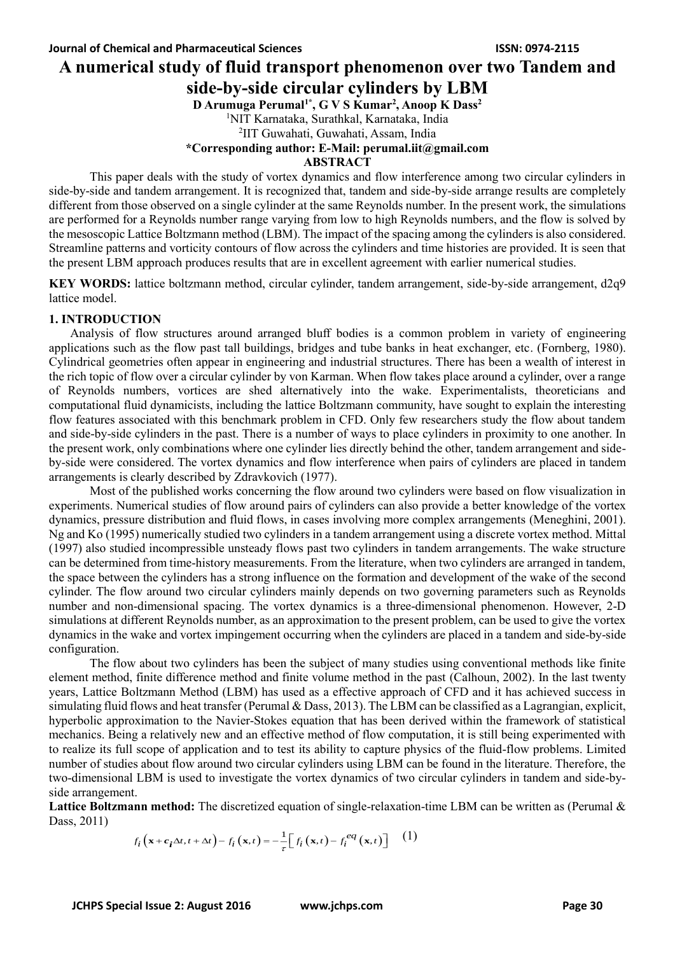# **A numerical study of fluid transport phenomenon over two Tandem and side-by-side circular cylinders by LBM**

**D Arumuga Perumal1\* , G V S Kumar<sup>2</sup> , Anoop K Dass<sup>2</sup>**

<sup>1</sup>NIT Karnataka, Surathkal, Karnataka, India

2 IIT Guwahati, Guwahati, Assam, India

**\*Corresponding author: E-Mail: perumal.iit@gmail.com**

**ABSTRACT**

This paper deals with the study of vortex dynamics and flow interference among two circular cylinders in side-by-side and tandem arrangement. It is recognized that, tandem and side-by-side arrange results are completely different from those observed on a single cylinder at the same Reynolds number. In the present work, the simulations are performed for a Reynolds number range varying from low to high Reynolds numbers, and the flow is solved by the mesoscopic Lattice Boltzmann method (LBM). The impact of the spacing among the cylinders is also considered. Streamline patterns and vorticity contours of flow across the cylinders and time histories are provided. It is seen that the present LBM approach produces results that are in excellent agreement with earlier numerical studies.

**KEY WORDS:** lattice boltzmann method, circular cylinder, tandem arrangement, side-by-side arrangement, d2q9 lattice model.

#### **1. INTRODUCTION**

 Analysis of flow structures around arranged bluff bodies is a common problem in variety of engineering applications such as the flow past tall buildings, bridges and tube banks in heat exchanger, etc. (Fornberg, 1980). Cylindrical geometries often appear in engineering and industrial structures. There has been a wealth of interest in the rich topic of flow over a circular cylinder by von Karman. When flow takes place around a cylinder, over a range of Reynolds numbers, vortices are shed alternatively into the wake. Experimentalists, theoreticians and computational fluid dynamicists, including the lattice Boltzmann community, have sought to explain the interesting flow features associated with this benchmark problem in CFD. Only few researchers study the flow about tandem and side-by-side cylinders in the past. There is a number of ways to place cylinders in proximity to one another. In the present work, only combinations where one cylinder lies directly behind the other, tandem arrangement and sideby-side were considered. The vortex dynamics and flow interference when pairs of cylinders are placed in tandem arrangements is clearly described by Zdravkovich (1977).

Most of the published works concerning the flow around two cylinders were based on flow visualization in experiments. Numerical studies of flow around pairs of cylinders can also provide a better knowledge of the vortex dynamics, pressure distribution and fluid flows, in cases involving more complex arrangements (Meneghini, 2001). Ng and Ko (1995) numerically studied two cylinders in a tandem arrangement using a discrete vortex method. Mittal (1997) also studied incompressible unsteady flows past two cylinders in tandem arrangements. The wake structure can be determined from time-history measurements. From the literature, when two cylinders are arranged in tandem, the space between the cylinders has a strong influence on the formation and development of the wake of the second cylinder. The flow around two circular cylinders mainly depends on two governing parameters such as Reynolds number and non-dimensional spacing. The vortex dynamics is a three-dimensional phenomenon. However, 2-D simulations at different Reynolds number, as an approximation to the present problem, can be used to give the vortex dynamics in the wake and vortex impingement occurring when the cylinders are placed in a tandem and side-by-side configuration.

The flow about two cylinders has been the subject of many studies using conventional methods like finite element method, finite difference method and finite volume method in the past (Calhoun, 2002). In the last twenty years, Lattice Boltzmann Method (LBM) has used as a effective approach of CFD and it has achieved success in simulating fluid flows and heat transfer (Perumal & Dass, 2013). The LBM can be classified as a Lagrangian, explicit, hyperbolic approximation to the Navier-Stokes equation that has been derived within the framework of statistical mechanics. Being a relatively new and an effective method of flow computation, it is still being experimented with to realize its full scope of application and to test its ability to capture physics of the fluid-flow problems. Limited number of studies about flow around two circular cylinders using LBM can be found in the literature. Therefore, the two-dimensional LBM is used to investigate the vortex dynamics of two circular cylinders in tandem and side-byside arrangement.

**Lattice Boltzmann method:** The discretized equation of single-relaxation-time LBM can be written as (Perumal & Dass, 2011)

$$
f_i\left(\mathbf{x} + \mathbf{c_i} \Delta t, t + \Delta t\right) - f_i\left(\mathbf{x}, t\right) = -\frac{1}{\tau} \Big[ f_i\left(\mathbf{x}, t\right) - f_i^{eq}\left(\mathbf{x}, t\right) \Big] \tag{1}
$$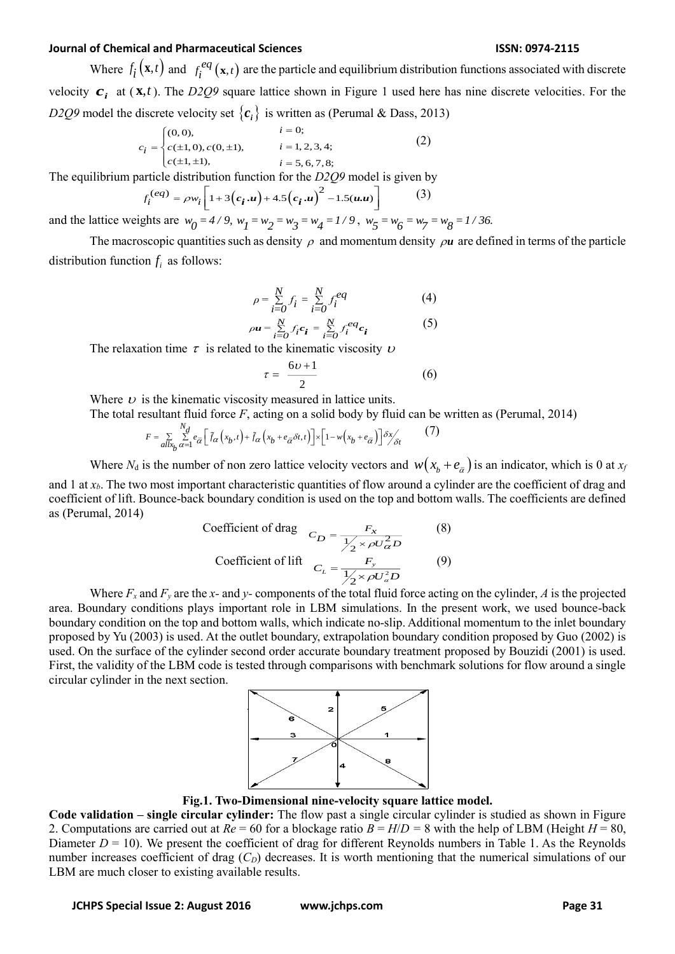### **Journal of Chemical and Pharmaceutical Sciences ISSN: 0974-2115**

Where  $f_i(\mathbf{x},t)$  and  $f_i^{eq}(\mathbf{x},t)$  are the particle and equilibrium distribution functions associated with discrete velocity  $c_i$  at  $(x,t)$ . The *D2Q9* square lattice shown in Figure 1 used here has nine discrete velocities. For the *D2Q9* model the discrete velocity set  $\{c_i\}$  is written as (Perumal & Dass, 2013)

$$
c_{i} = \begin{cases} (0,0), & i = 0; \\ c(\pm 1, 0), c(0, \pm 1), & i = 1, 2, 3, 4; \\ c(\pm 1, \pm 1), & i = 5, 6, 7, 8; \end{cases}
$$
(2)

The equilibrium particle distribution function for the *D2Q9* model is given by

$$
f_i^{(eq)} = \rho w_i \left[ 1 + 3(c_i \cdot u) + 4.5(c_i \cdot u)^2 - 1.5(u \cdot u) \right]
$$
 (3)

and the lattice weights are  $w_0 = 4/9$ ,  $w_1 = w_2 = w_3 = w_4 = 1/9$ ,  $w_5 = w_6 = w_7 = w_8 = 1/36$ .

The macroscopic quantities such as density  $\rho$  and momentum density  $\rho u$  are defined in terms of the particle distribution function  $f_i$  as follows:

$$
\rho = \sum_{i=0}^{N} f_i = \sum_{i=0}^{N} f_i^{eq} \tag{4}
$$

$$
\rho \mathbf{u} = \sum_{i=0}^{N} f_i \mathbf{c}_i = \sum_{i=0}^{N} f_i^{eq} \mathbf{c}_i
$$
 (5)

The relaxation time  $\tau$  is related to the kinematic viscosity  $\nu$ 

$$
\tau = \frac{6\nu + 1}{2} \tag{6}
$$

Where  $\nu$  is the kinematic viscosity measured in lattice units.

The total resultant fluid force *F*, acting on a solid body by fluid can be written as (Perumal, 2014)

$$
F = \sum_{\substack{a \mid x_b \\ a \neq 1}} \sum_{\alpha=1}^{N_d} e_{\overline{\alpha}} \left[ \tilde{f}_{\alpha} \left( x_b, t \right) + \tilde{f}_{\alpha} \left( x_b + e_{\overline{\alpha}} \delta t, t \right) \right] \times \left[ 1 - w \left( x_b + e_{\overline{\alpha}} \right) \right] \delta x / \delta t \tag{7}
$$

Where  $N_d$  is the number of non zero lattice velocity vectors and  $w(x_b + e_{\bar{\alpha}})$  is an indicator, which is 0 at  $x_f$ and 1 at *xb*. The two most important characteristic quantities of flow around a cylinder are the coefficient of drag and coefficient of lift. Bounce-back boundary condition is used on the top and bottom walls. The coefficients are defined as (Perumal, 2014)

Coefficient of drag 
$$
C_D = \frac{F_x}{\frac{1}{2} \times \rho U_\alpha^2 D}
$$
 (8)  
Coefficient of lift  $C_L = \frac{F_y}{\frac{1}{2} \times \rho U_\alpha^2 D}$  (9)

Where  $F_x$  and  $F_y$  are the *x*- and *y*- components of the total fluid force acting on the cylinder, *A* is the projected area. Boundary conditions plays important role in LBM simulations. In the present work, we used bounce-back boundary condition on the top and bottom walls, which indicate no-slip. Additional momentum to the inlet boundary proposed by Yu (2003) is used. At the outlet boundary, extrapolation boundary condition proposed by Guo (2002) is used. On the surface of the cylinder second order accurate boundary treatment proposed by Bouzidi (2001) is used. First, the validity of the LBM code is tested through comparisons with benchmark solutions for flow around a single circular cylinder in the next section.



**Fig.1. Two-Dimensional nine-velocity square lattice model.**

**Code validation – single circular cylinder:** The flow past a single circular cylinder is studied as shown in Figure 2. Computations are carried out at  $Re = 60$  for a blockage ratio  $B = H/D = 8$  with the help of LBM (Height  $H = 80$ , Diameter  $D = 10$ ). We present the coefficient of drag for different Reynolds numbers in Table 1. As the Reynolds number increases coefficient of drag  $(C_D)$  decreases. It is worth mentioning that the numerical simulations of our LBM are much closer to existing available results.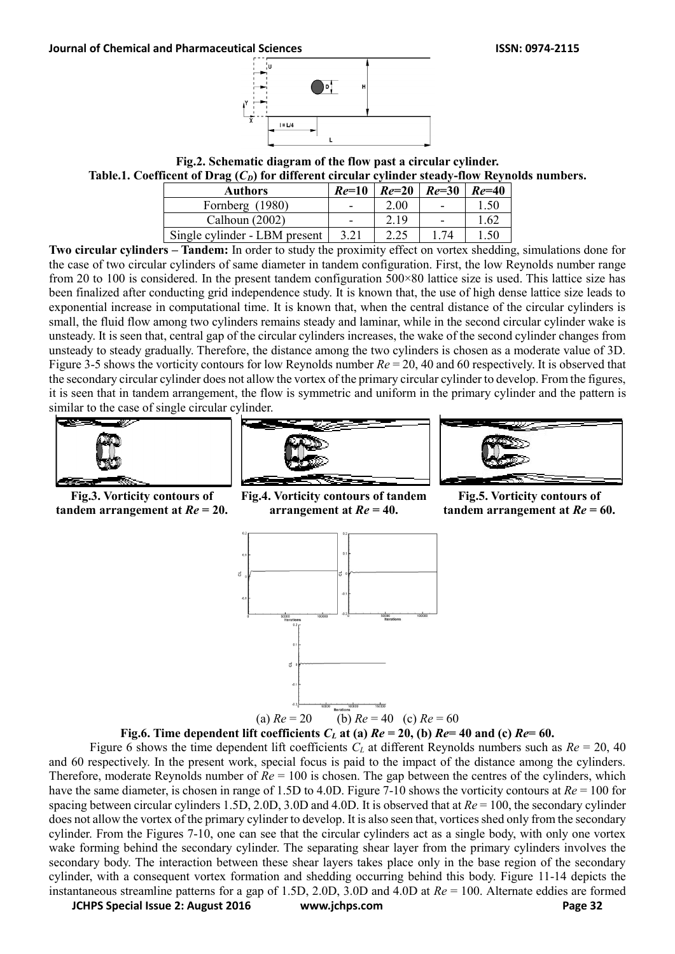

**Fig.2. Schematic diagram of the flow past a circular cylinder. Table.1. Coefficent of Drag (***CD***) for different circular cylinder steady-flow Reynolds numbers.**

| <b>Authors</b>                | $Re=10$                  |      | $Re=20$ $Re=30$ | $Re=40$ |
|-------------------------------|--------------------------|------|-----------------|---------|
| Fornberg (1980)               | $\overline{\phantom{0}}$ | 2.00 |                 | l .50   |
| Calhoun $(2002)$              | $\blacksquare$           | 2 19 |                 | -62     |
| Single cylinder - LBM present |                          |      |                 | .50     |

**Two circular cylinders – Tandem:** In order to study the proximity effect on vortex shedding, simulations done for the case of two circular cylinders of same diameter in tandem configuration. First, the low Reynolds number range from 20 to 100 is considered. In the present tandem configuration 500×80 lattice size is used. This lattice size has been finalized after conducting grid independence study. It is known that, the use of high dense lattice size leads to exponential increase in computational time. It is known that, when the central distance of the circular cylinders is small, the fluid flow among two cylinders remains steady and laminar, while in the second circular cylinder wake is unsteady. It is seen that, central gap of the circular cylinders increases, the wake of the second cylinder changes from unsteady to steady gradually. Therefore, the distance among the two cylinders is chosen as a moderate value of 3D. Figure 3-5 shows the vorticity contours for low Reynolds number *Re* = 20, 40 and 60 respectively. It is observed that the secondary circular cylinder does not allow the vortex of the primary circular cylinder to develop. From the figures, it is seen that in tandem arrangement, the flow is symmetric and uniform in the primary cylinder and the pattern is similar to the case of single circular cylinder.









**Fig.4. Vorticity contours of tandem arrangement at** *Re* **= 40.**

**Fig.5. Vorticity contours of tandem arrangement at** *Re* **= 60.**





**JCHPS Special Issue 2: August 2016 www.jchps.com Page 32** Figure 6 shows the time dependent lift coefficients  $C_L$  at different Reynolds numbers such as  $Re = 20, 40$ and 60 respectively. In the present work, special focus is paid to the impact of the distance among the cylinders. Therefore, moderate Reynolds number of *Re* = 100 is chosen. The gap between the centres of the cylinders, which have the same diameter, is chosen in range of 1.5D to 4.0D. Figure 7-10 shows the vorticity contours at  $Re = 100$  for spacing between circular cylinders 1.5D, 2.0D, 3.0D and 4.0D. It is observed that at *Re* = 100, the secondary cylinder does not allow the vortex of the primary cylinder to develop. It is also seen that, vortices shed only from the secondary cylinder. From the Figures 7-10, one can see that the circular cylinders act as a single body, with only one vortex wake forming behind the secondary cylinder. The separating shear layer from the primary cylinders involves the secondary body. The interaction between these shear layers takes place only in the base region of the secondary cylinder, with a consequent vortex formation and shedding occurring behind this body. Figure 11-14 depicts the instantaneous streamline patterns for a gap of 1.5D, 2.0D, 3.0D and 4.0D at *Re* = 100. Alternate eddies are formed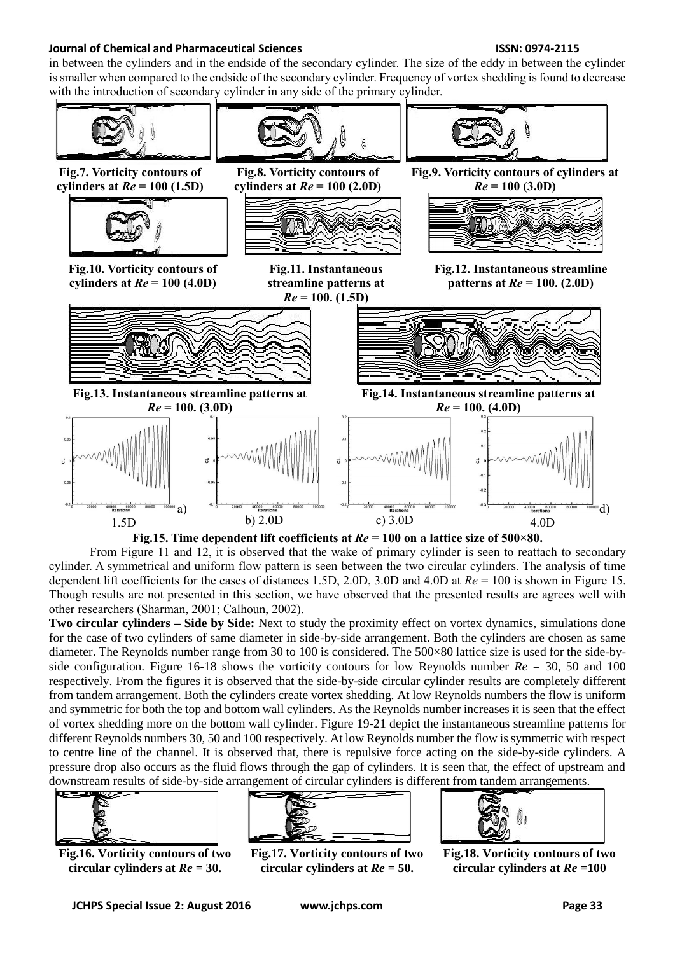## **Journal of Chemical and Pharmaceutical Sciences ISSN: 0974-2115**

in between the cylinders and in the endside of the secondary cylinder. The size of the eddy in between the cylinder is smaller when compared to the endside of the secondary cylinder. Frequency of vortex shedding is found to decrease with the introduction of secondary cylinder in any side of the primary cylinder.



**Fig.15. Time dependent lift coefficients at** *Re* **= 100 on a lattice size of 500×80.**

From Figure 11 and 12, it is observed that the wake of primary cylinder is seen to reattach to secondary cylinder. A symmetrical and uniform flow pattern is seen between the two circular cylinders. The analysis of time dependent lift coefficients for the cases of distances 1.5D, 2.0D, 3.0D and 4.0D at *Re* = 100 is shown in Figure 15. Though results are not presented in this section, we have observed that the presented results are agrees well with other researchers (Sharman, 2001; Calhoun, 2002).

**Two circular cylinders – Side by Side:** Next to study the proximity effect on vortex dynamics, simulations done for the case of two cylinders of same diameter in side-by-side arrangement. Both the cylinders are chosen as same diameter. The Reynolds number range from 30 to 100 is considered. The 500×80 lattice size is used for the side-byside configuration. Figure 16-18 shows the vorticity contours for low Reynolds number *Re* = 30, 50 and 100 respectively. From the figures it is observed that the side-by-side circular cylinder results are completely different from tandem arrangement. Both the cylinders create vortex shedding. At low Reynolds numbers the flow is uniform and symmetric for both the top and bottom wall cylinders. As the Reynolds number increases it is seen that the effect of vortex shedding more on the bottom wall cylinder. Figure 19-21 depict the instantaneous streamline patterns for different Reynolds numbers 30, 50 and 100 respectively. At low Reynolds number the flow is symmetric with respect to centre line of the channel. It is observed that, there is repulsive force acting on the side-by-side cylinders. A pressure drop also occurs as the fluid flows through the gap of cylinders. It is seen that, the effect of upstream and downstream results of side-by-side arrangement of circular cylinders is different from tandem arrangements.



**Fig.16. Vorticity contours of two circular cylinders at** *Re* **= 30.**



**Fig.17. Vorticity contours of two circular cylinders at** *Re* **= 50.**



**Fig.18. Vorticity contours of two circular cylinders at** *Re* **=100**